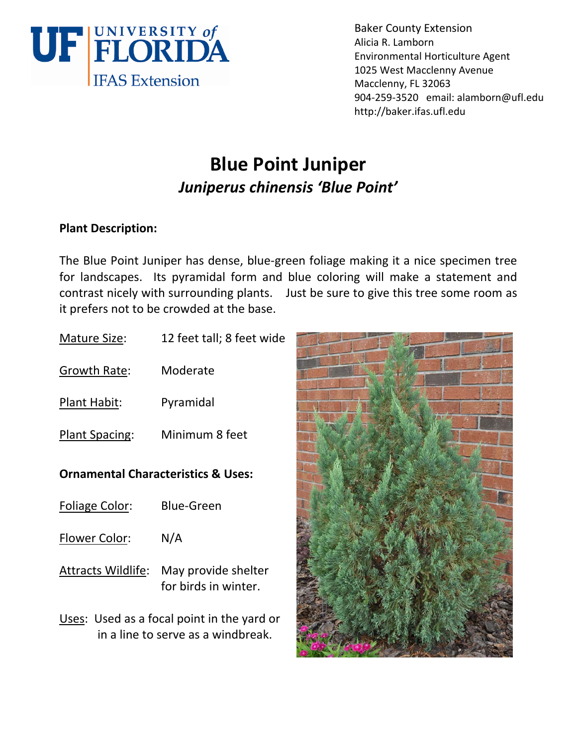

Baker County Extension Alicia R. Lamborn Environmental Horticulture Agent 1025 West Macclenny Avenue Macclenny, FL 32063 904‐259‐3520 email: alamborn@ufl.edu http://baker.ifas.ufl.edu

# **Blue Point Juniper** *Juniperus chinensis 'Blue Point'*

## **Plant Description:**

The Blue Point Juniper has dense, blue‐green foliage making it a nice specimen tree for landscapes. Its pyramidal form and blue coloring will make a statement and contrast nicely with surrounding plants. Just be sure to give this tree some room as it prefers not to be crowded at the base.

| <b>Mature Size:</b>                                                              | 12 feet tall; 8 feet wide                   |
|----------------------------------------------------------------------------------|---------------------------------------------|
| Growth Rate:                                                                     | Moderate                                    |
| <u>Plant Habit:</u>                                                              | Pyramidal                                   |
| <b>Plant Spacing:</b>                                                            | Minimum 8 feet                              |
| <b>Ornamental Characteristics &amp; Uses:</b>                                    |                                             |
| <b>Foliage Color:</b>                                                            | Blue-Green                                  |
| Flower Color:                                                                    | N/A                                         |
| Attracts Wildlife:                                                               | May provide shelter<br>for birds in winter. |
| Uses: Used as a focal point in the yard or<br>in a line to serve as a windbreak. |                                             |